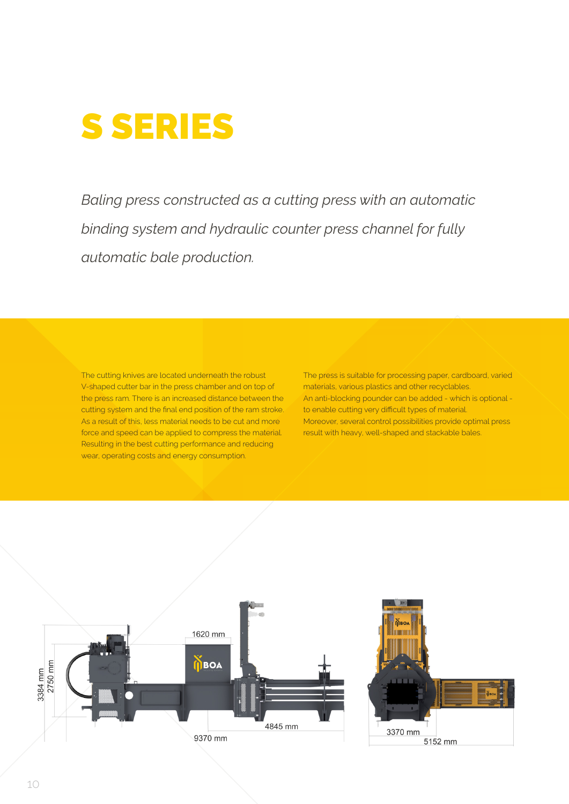

*Baling press constructed as a cutting press with an automatic binding system and hydraulic counter press channel for fully automatic bale production.*

The cutting knives are located underneath the robust V-shaped cutter bar in the press chamber and on top of the press ram. There is an increased distance between the cutting system and the final end position of the ram stroke. As a result of this, less material needs to be cut and more force and speed can be applied to compress the material. Resulting in the best cutting performance and reducing wear, operating costs and energy consumption.

The press is suitable for processing paper, cardboard, varied materials, various plastics and other recyclables. An anti-blocking pounder can be added - which is optional to enable cutting very difficult types of material. Moreover, several control possibilities provide optimal press result with heavy, well-shaped and stackable bales.